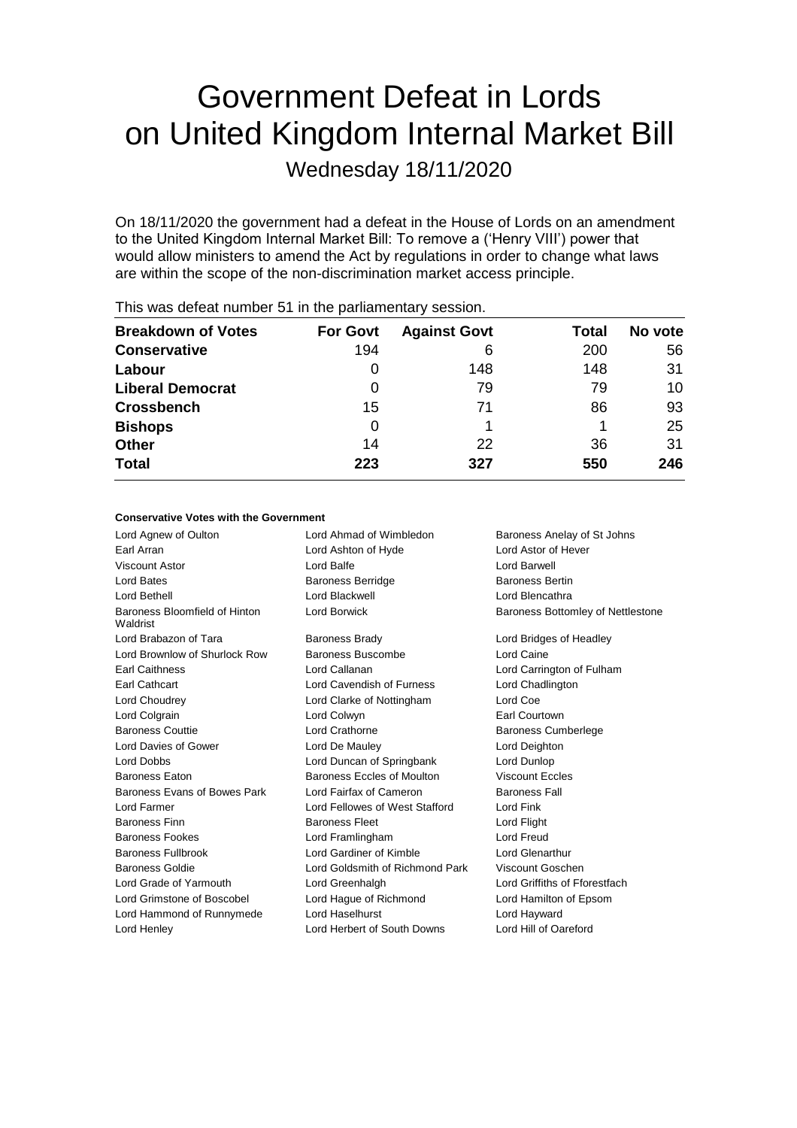# Government Defeat in Lords on United Kingdom Internal Market Bill

Wednesday 18/11/2020

On 18/11/2020 the government had a defeat in the House of Lords on an amendment to the United Kingdom Internal Market Bill: To remove a ('Henry VIII') power that would allow ministers to amend the Act by regulations in order to change what laws are within the scope of the non-discrimination market access principle.

| <b>Breakdown of Votes</b> | <b>For Govt</b> | <b>Against Govt</b> | Total | No vote |
|---------------------------|-----------------|---------------------|-------|---------|
| <b>Conservative</b>       | 194             | 6                   | 200   | 56      |
| Labour                    | 0               | 148                 | 148   | 31      |
| <b>Liberal Democrat</b>   | 0               | 79                  | 79    | 10      |
| <b>Crossbench</b>         | 15              | 71                  | 86    | 93      |
| <b>Bishops</b>            | 0               |                     |       | 25      |
| <b>Other</b>              | 14              | 22                  | 36    | 31      |
| <b>Total</b>              | 223             | 327                 | 550   | 246     |

This was defeat number 51 in the parliamentary session.

#### **Conservative Votes with the Government**

Lord Agnew of Oulton Lord Ahmad of Wimbledon Baroness Anelay of St Johns Earl Arran Lord Ashton of Hyde Lord Astor of Hever Viscount Astor Lord Balfe Lord Barwell Lord Bates **Baroness Berridge** Baroness Bertin Lord Bethell Lord Blackwell Lord Blencathra Baroness Bloomfield of Hinton Waldrist Lord Borwick **Baroness Bottomley of Nettlestone** Lord Brabazon of Tara **Baroness Brady Communist Constructs** Lord Bridges of Headley Lord Brownlow of Shurlock Row Baroness Buscombe Lord Caine Earl Caithness Lord Callanan Lord Carrington of Fulham Earl Cathcart Lord Cavendish of Furness Lord Chadlington Lord Choudrey Lord Clarke of Nottingham Lord Coe Lord Colgrain Lord Colwyn Earl Courtown Baroness Couttie Lord Crathorne Baroness Cumberlege Lord Davies of Gower Lord De Mauley Lord Deighton Lord Dobbs Lord Duncan of Springbank Lord Dunlop Baroness Eaton Baroness Eccles of Moulton Viscount Eccles Baroness Evans of Bowes Park Lord Fairfax of Cameron Baroness Fall Lord Farmer Lord Fellowes of West Stafford Lord Fink Baroness Finn **Baroness Fleet Baroness Fleet** Lord Flight Baroness Fookes Lord Framlingham Lord Freud Baroness Fullbrook Lord Gardiner of Kimble Lord Glenarthur Baroness Goldie Lord Goldsmith of Richmond Park Viscount Goschen Lord Grade of Yarmouth Lord Greenhalgh Lord Griffiths of Fforestfach Lord Grimstone of Boscobel Lord Hague of Richmond Lord Hamilton of Epsom Lord Hammond of Runnymede Lord Haselhurst Lord Hayward Lord Henley Lord Herbert of South Downs Lord Hill of Oareford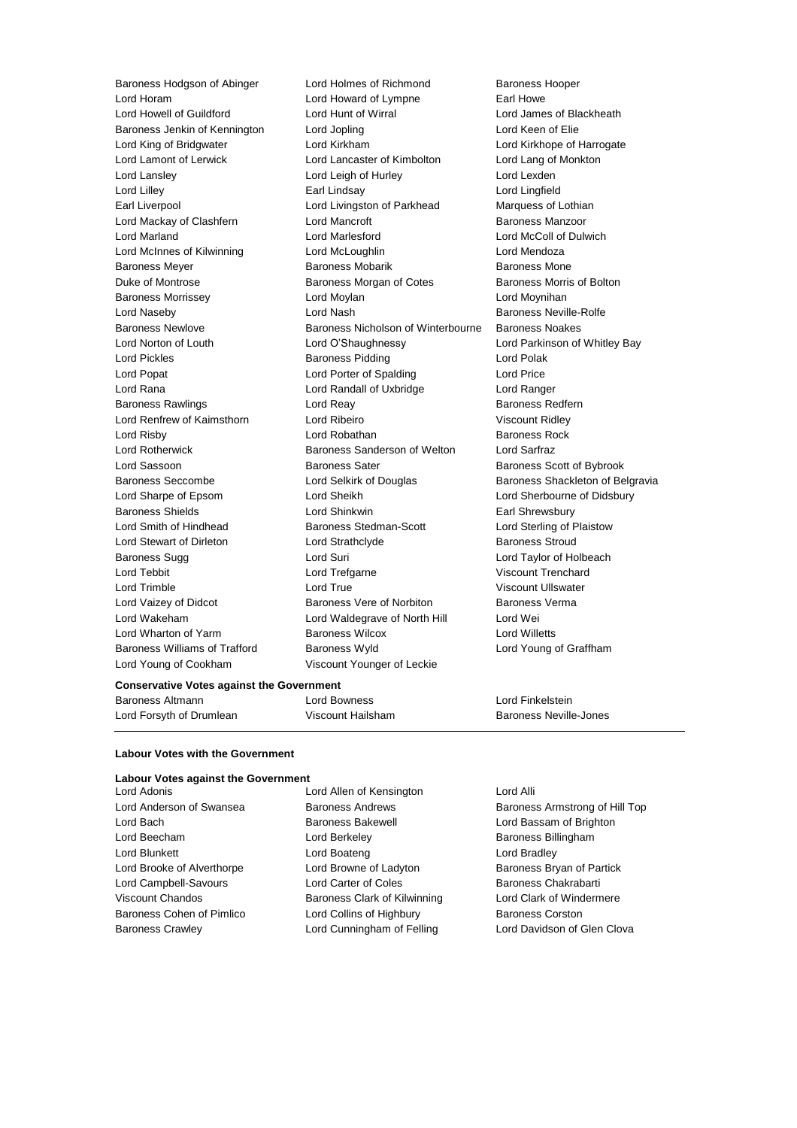Lord Young of Cookham Viscount Younger of Leckie

Baroness Hodgson of Abinger Lord Holmes of Richmond Baroness Hooper Lord Horam Lord Howard of Lympne Earl Howe Lord Howell of Guildford Lord Hunt of Wirral Lord James of Blackheath Baroness Jenkin of Kennington Lord Jopling Communication Lord Keen of Elie Lord King of Bridgwater Lord Kirkham Lord Kirkhope of Harrogate Lord Lamont of Lerwick Lord Lancaster of Kimbolton Lord Lang of Monkton Lord Lansley Lord Leigh of Hurley Lord Lexden Lord Lilley Earl Lindsay Lord Lingfield Earl Liverpool Lord Livingston of Parkhead Marquess of Lothian Lord Mackay of Clashfern Lord Mancroft Baroness Manzoor Lord Marland Lord Marlesford Lord McColl of Dulwich Lord McInnes of Kilwinning Lord McLoughlin Lord Mendoza Baroness Meyer Baroness Mobarik Baroness Mone Duke of Montrose **Baroness Morgan of Cotes** Baroness Morris of Bolton Baroness Morrissey Lord Moylan Lord Moynihan Lord Naseby **Lord Nash Baroness Neville-Rolfe** Baroness Newlove Baroness Nicholson of Winterbourne Baroness Noakes Lord Norton of Louth Lord O'Shaughnessy Lord Parkinson of Whitley Bay Lord Pickles Baroness Pidding Lord Polak Lord Popat Lord Porter of Spalding Lord Price Lord Rana Lord Randall of Uxbridge Lord Ranger Baroness Rawlings **Baroness Redfern** Lord Reay **Baroness Redfern** Lord Renfrew of Kaimsthorn Lord Ribeiro **Viscount Ridley** Viscount Ridley Lord Risby **Lord Robathan** Baroness Rock **Baroness Rock** Lord Rotherwick Baroness Sanderson of Welton Lord Sarfraz Lord Sassoon **Baroness Sater** Baroness Scott of Bybrook Baroness Seccombe **Lord Selkirk of Douglas** Baroness Shackleton of Belgravia Lord Sharpe of Epsom Lord Sheikh Lord Sherbourne of Didsbury Baroness Shields **Lord Shinkwin** Earl Shrewsbury Lord Smith of Hindhead Baroness Stedman-Scott Lord Sterling of Plaistow Lord Stewart of Dirleton Lord Strathclyde Baroness Stroud Baroness Sugg Lord Suri Lord Taylor of Holbeach Lord Tebbit Lord Trefgarne Viscount Trenchard Lord Trimble Lord True Viscount Ullswater Lord Vaizey of Didcot **Baroness Vere of Norbiton** Baroness Verma Lord Wakeham Lord Waldegrave of North Hill Lord Wei Lord Wharton of Yarm Baroness Wilcox Lord Willetts Baroness Williams of Trafford Baroness Wyld Lord Young of Graffham

#### **Conservative Votes against the Government**

Baroness Altmann Lord Bowness Lord Finkelstein Lord Forsyth of Drumlean **Viscount Hailsham** Baroness Neville-Jones

#### **Labour Votes with the Government**

#### **Labour Votes against the Government**

Lord Bach **Baroness Bakewell Baroness Bakewell Lord Bassam of Brighton** Lord Beecham **Lord Berkeley Baroness Billingham** Lord Blunkett Lord Boateng Lord Bradley Lord Brooke of Alverthorpe **Lord Browne of Ladyton** Baroness Bryan of Partick Lord Campbell-Savours Lord Carter of Coles Baroness Chakrabarti Viscount Chandos **Baroness Clark of Kilwinning** Lord Clark of Windermere Baroness Cohen of Pimlico **Lord Collins of Highbury** Baroness Corston Baroness Crawley **Lord Cunningham of Felling** Lord Davidson of Glen Clova

Lord Adonis Lord Allen of Kensington Lord Alli

Lord Anderson of Swansea **Baroness Andrews** Baroness Armstrong of Hill Top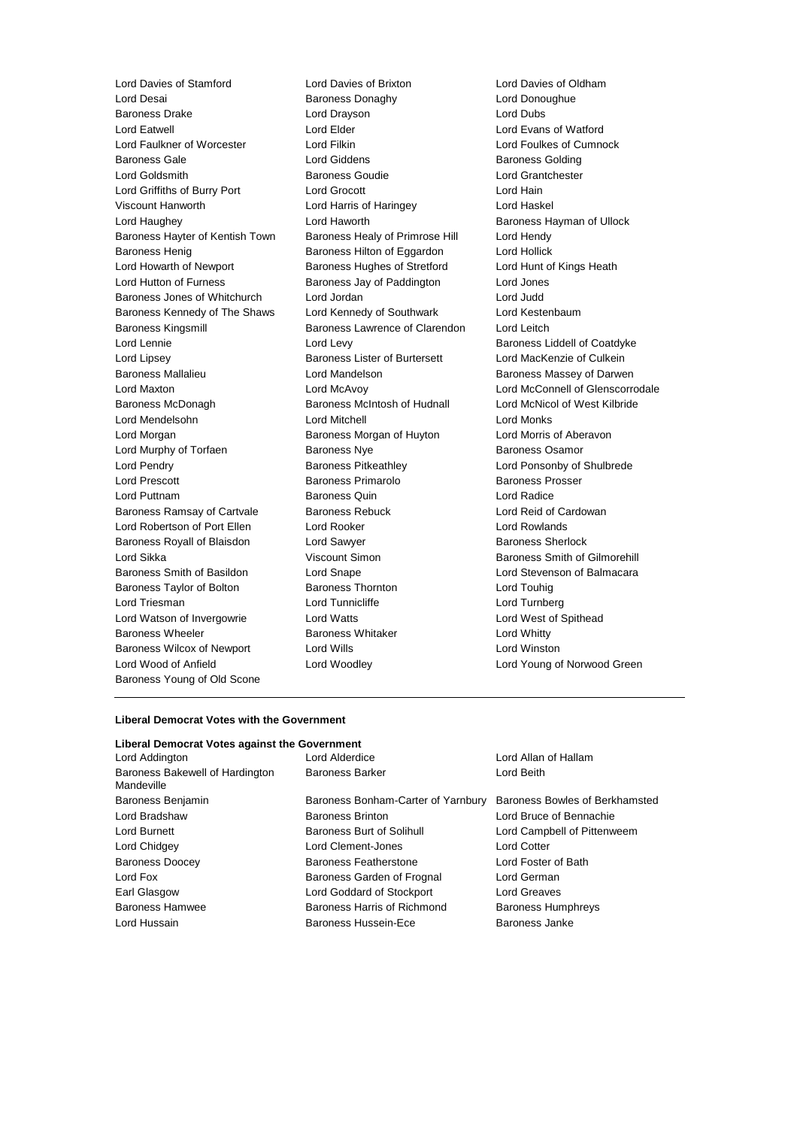Lord Desai Baroness Donaghy Lord Donoughue Baroness Drake Lord Drayson Lord Dubs Lord Eatwell Lord Elder Lord Evans of Watford Lord Faulkner of Worcester Lord Filkin Lord Foulkes of Cumnock Baroness Gale **Baroness Golding** Lord Giddens **Baroness Golding** Lord Goldsmith Baroness Goudie Lord Grantchester Lord Griffiths of Burry Port Lord Grocott Lord Hain Viscount Hanworth Lord Harris of Haringey Lord Haskel Lord Haughey **Lord Haworth Baroness Hayman of Ullock** Lord Haworth **Baroness Hayman of Ullock** Baroness Hayter of Kentish Town Baroness Healy of Primrose Hill Lord Hendy Baroness Henig Baroness Hilton of Eggardon Lord Hollick Lord Howarth of Newport **Baroness Hughes of Stretford** Lord Hunt of Kings Heath Lord Hutton of Furness **Baroness Jay of Paddington** Lord Jones Baroness Jones of Whitchurch Lord Jordan Lord Judd Baroness Kennedy of The Shaws Lord Kennedy of Southwark Lord Kestenbaum Baroness Kingsmill Baroness Lawrence of Clarendon Lord Leitch Lord Lennie Lord Levy Baroness Liddell of Coatdyke Lord Lipsey Baroness Lister of Burtersett Lord MacKenzie of Culkein Baroness Mallalieu Lord Mandelson Baroness Massey of Darwen Lord Maxton Lord McAvoy Lord McConnell of Glenscorrodale Baroness McDonagh Baroness McIntosh of Hudnall Lord McNicol of West Kilbride Lord Mendelsohn Lord Mitchell Lord Monks Lord Morgan **Baroness Morgan of Huyton** Lord Morris of Aberavon Lord Murphy of Torfaen **Baroness Nye** Baroness Osamor Lord Pendry Baroness Pitkeathley Lord Ponsonby of Shulbrede Lord Prescott Baroness Primarolo Baroness Prosser Lord Puttnam Baroness Quin Lord Radice Baroness Ramsay of Cartvale Baroness Rebuck Lord Reid of Cardowan Lord Robertson of Port Ellen Lord Rooker Lord Rowlands Baroness Royall of Blaisdon Lord Sawyer **Baroness Sherlock** Baroness Sherlock Lord Sikka **Viscount Simon** Baroness Smith of Gilmorehill Baroness Smith of Basildon Lord Snape Lord Stevenson of Balmacara Baroness Taylor of Bolton Baroness Thornton Lord Touhig Lord Triesman Lord Tunnicliffe Lord Turnberg Lord Watson of Invergowrie Lord Watts Lord West of Spithead Baroness Wheeler **Baroness Whitaker** Lord Whitty Baroness Wilcox of Newport Lord Wills **Lord Winston** Lord Wood of Anfield Lord Woodley Lord Young of Norwood Green Baroness Young of Old Scone

Lord Davies of Stamford Lord Davies of Brixton Lord Davies of Oldham

#### **Liberal Democrat Votes with the Government**

#### **Liberal Democrat Votes against the Government** Lord Addington Lord Alderdice Lord Allan of Hallam

Baroness Bakewell of Hardington Mandeville

Baroness Benjamin Baroness Bonham-Carter of Yarnbury Baroness Bowles of Berkhamsted Lord Bradshaw Baroness Brinton Lord Bruce of Bennachie Lord Burnett Baroness Burt of Solihull Lord Campbell of Pittenweem Lord Chidgey Lord Clement-Jones Lord Cotter Baroness Doocey Baroness Featherstone Lord Foster of Bath Lord Fox Baroness Garden of Frognal Lord German Earl Glasgow Lord Goddard of Stockport Lord Greaves Baroness Hamwee Baroness Harris of Richmond Baroness Humphreys Lord Hussain Baroness Hussein-Ece Baroness Janke

Baroness Barker Lord Beith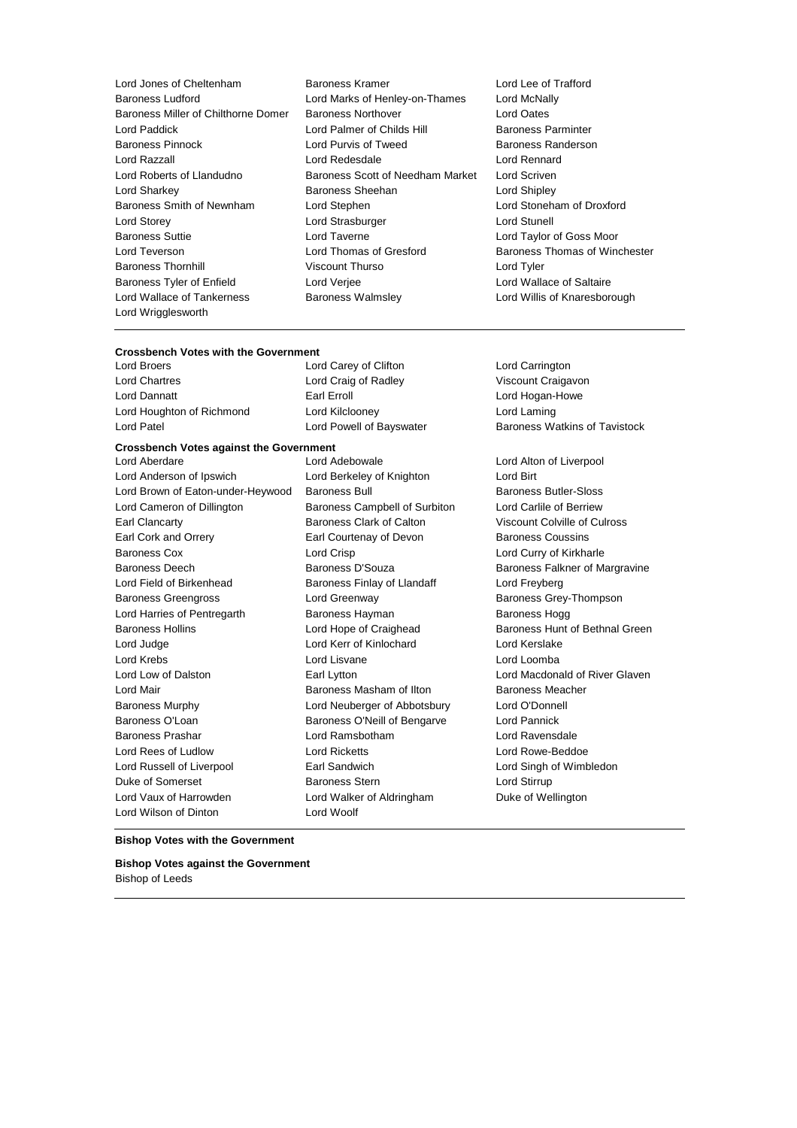Baroness Ludford Lord Marks of Henley-on-Thames Lord McNally Baroness Miller of Chilthorne Domer Baroness Northover Lord Oates Lord Paddick **Lord Palmer of Childs Hill** Baroness Parminter<br>Baroness Pinnock **Lord Purvis of Tweed** Baroness Randerso Lord Razzall Lord Redesdale Lord Rennard Lord Roberts of Llandudno Baroness Scott of Needham Market Lord Scriven Lord Sharkey **Baroness Sheehan** Lord Shipley **Lord Shipley** Baroness Smith of Newnham Lord Stephen Lord Stoneham of Droxford Lord Storey **Lord Strasburger** Lord Strasburger **Lord Strasburger** Lord Stunell Baroness Suttie Lord Taverne Lord Taylor of Goss Moor Lord Teverson Lord Thomas of Gresford Baroness Thomas of Winchester Baroness Thornhill **Example 20** Viscount Thurso **Lord Tyler** Lord Tyler Baroness Tyler of Enfield Lord Verjee Lord Wallace of Saltaire Lord Wallace of Tankerness **Baroness Walmsley Communist Constructs** Lord Willis of Knaresborough Lord Wrigglesworth

- Lord Jones of Cheltenham Baroness Kramer Lord Lee of Trafford Lord Purvis of Tweed Baroness Randerson
	-

## **Crossbench Votes with the Government**

Lord Chartres Lord Craig of Radley Viscount Craigavon Lord Dannatt **Earl Erroll** Earl Erroll **Earl Example 2018** Lord Hogan-Howe Lord Houghton of Richmond Lord Kilclooney Lord Laming

#### **Crossbench Votes against the Government**

Lord Anderson of Ipswich Lord Berkeley of Knighton Lord Birt Lord Brown of Eaton-under-Heywood Baroness Bull Baroness Butler-Sloss Lord Cameron of Dillington Baroness Campbell of Surbiton Lord Carlile of Berriew Earl Clancarty Baroness Clark of Calton Viscount Colville of Culross Earl Cork and Orrery Earl Courtenay of Devon Baroness Coussins Baroness Cox **Lord Crisp** Lord Crisp **Lord Curry of Kirkharle** Baroness Deech Baroness D'Souza Baroness D'Souza Baroness Falkner of Margravine Lord Field of Birkenhead Baroness Finlay of Llandaff Cord Freyberg Baroness Greengross **Example 2** Lord Greenway **Baroness Grey-Thompson** Lord Harries of Pentregarth Baroness Hayman Baroness Hogg Baroness Hollins **Example 2** Lord Hope of Craighead Baroness Hunt of Bethnal Green Lord Judge Lord Kerr of Kinlochard Lord Kerslake Lord Krebs Lord Lisvane Lord Loomba Lord Low of Dalston Earl Lytton Lord Macdonald of River Glaven Lord Mair Baroness Masham of Ilton Baroness Meacher Baroness Murphy Lord Neuberger of Abbotsbury Lord O'Donnell Baroness O'Loan **Baroness O'Neill of Bengarve** Lord Pannick Baroness Prashar Lord Ramsbotham Lord Ravensdale Lord Rees of Ludlow Lord Ricketts Lord Rowe-Beddoe Lord Russell of Liverpool **Earl Sandwich** Earl Sandwich Lord Singh of Wimbledon Duke of Somerset **Baroness Stern** Baroness Stern Lord Stirrup Lord Vaux of Harrowden **Lord Walker of Aldringham** Duke of Wellington Lord Wilson of Dinton Lord Woolf

Lord Aberdare Lord Adebowale Lord Alton of Liverpool

Lord Carey of Clifton Lord Carrington Lord Patel **Lord Powell of Bayswater** Baroness Watkins of Tavistock

#### **Bishop Votes with the Government**

**Bishop Votes against the Government** Bishop of Leeds